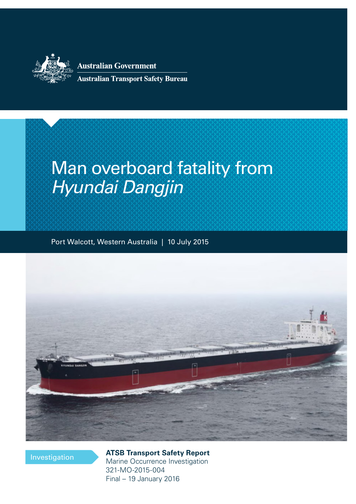

**Australian Government Australian Transport Safety Bureau** 

## Ivian overboard fatality fro<br>Humdei Depeiin Man overboard fatality from *Hyundai Dangjin*

Port Walcott, Western Australia | 10 July 2015



Investigation

**ATSB Transport Safety Report** Marine Occurrence Investigation

321-MO-2015-004 Final Final – 19 January 2016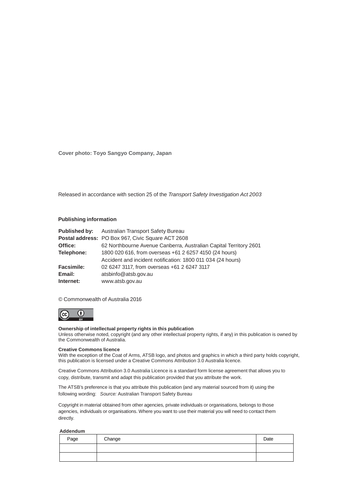**Cover photo: Toyo Sangyo Company, Japan**

Released in accordance with section 25 of the *Transport Safety Investigation Act 2003*

#### **Publishing information**

|                   | <b>Published by:</b> Australian Transport Safety Bureau           |  |  |
|-------------------|-------------------------------------------------------------------|--|--|
|                   | <b>Postal address: PO Box 967, Civic Square ACT 2608</b>          |  |  |
| Office:           | 62 Northbourne Avenue Canberra, Australian Capital Territory 2601 |  |  |
| Telephone:        | 1800 020 616, from overseas +61 2 6257 4150 (24 hours)            |  |  |
|                   | Accident and incident notification: 1800 011 034 (24 hours)       |  |  |
| <b>Facsimile:</b> | 02 6247 3117, from overseas +61 2 6247 3117                       |  |  |
| Email:            | atsbinfo@atsb.gov.au                                              |  |  |
| Internet:         | www.atsb.gov.au                                                   |  |  |

© Commonwealth of Australia 2016

#### $\bigcirc$  $(c)$

#### **Ownership of intellectual property rights in this publication**

Unless otherwise noted, copyright (and any other intellectual property rights, if any) in this publication is owned by the Commonwealth of Australia.

#### **Creative Commons licence**

With the exception of the Coat of Arms, ATSB logo, and photos and graphics in which a third party holds copyright, this publication is licensed under a Creative Commons Attribution 3.0 Australia licence.

Creative Commons Attribution 3.0 Australia Licence is a standard form license agreement that allows you to copy, distribute, transmit and adapt this publication provided that you attribute the work.

The ATSB's preference is that you attribute this publication (and any material sourced from it) using the following wording: *Source:* Australian Transport Safety Bureau

Copyright in material obtained from other agencies, private individuals or organisations, belongs to those agencies, individuals or organisations. Where you want to use their material you will need to contact them directly.

#### **Addendum**

| Page | Change | Date |
|------|--------|------|
|      |        |      |
|      |        |      |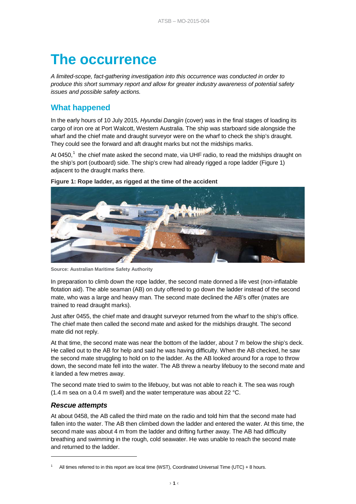# **The occurrence**

*A limited-scope, fact-gathering investigation into this occurrence was conducted in order to produce this short summary report and allow for greater industry awareness of potential safety issues and possible safety actions.*

## **What happened**

In the early hours of 10 July 2015, *Hyundai Dangjin* (cover) was in the final stages of loading its cargo of iron ore at Port Walcott, Western Australia. The ship was starboard side alongside the wharf and the chief mate and draught surveyor were on the wharf to check the ship's draught. They could see the forward and aft draught marks but not the midships marks.

At 0450,<sup>[1](#page--1-0)</sup> the chief mate asked the second mate, via UHF radio, to read the midships draught on the ship's port (outboard) side. The ship's crew had already rigged a rope ladder [\(Figure 1\)](#page-2-0) adjacent to the draught marks there.



#### <span id="page-2-0"></span>**Figure 1: Rope ladder, as rigged at the time of the accident**

**Source: Australian Maritime Safety Authority**

In preparation to climb down the rope ladder, the second mate donned a life vest (non-inflatable flotation aid). The able seaman (AB) on duty offered to go down the ladder instead of the second mate, who was a large and heavy man. The second mate declined the AB's offer (mates are trained to read draught marks).

Just after 0455, the chief mate and draught surveyor returned from the wharf to the ship's office. The chief mate then called the second mate and asked for the midships draught. The second mate did not reply.

At that time, the second mate was near the bottom of the ladder, about 7 m below the ship's deck. He called out to the AB for help and said he was having difficulty. When the AB checked, he saw the second mate struggling to hold on to the ladder. As the AB looked around for a rope to throw down, the second mate fell into the water. The AB threw a nearby lifebuoy to the second mate and it landed a few metres away.

The second mate tried to swim to the lifebuoy, but was not able to reach it. The sea was rough (1.4 m sea on a 0.4 m swell) and the water temperature was about 22 °C.

## *Rescue attempts*

-

At about 0458, the AB called the third mate on the radio and told him that the second mate had fallen into the water. The AB then climbed down the ladder and entered the water. At this time, the second mate was about 4 m from the ladder and drifting further away. The AB had difficulty breathing and swimming in the rough, cold seawater. He was unable to reach the second mate and returned to the ladder.

All times referred to in this report are local time (WST), Coordinated Universal Time (UTC) + 8 hours.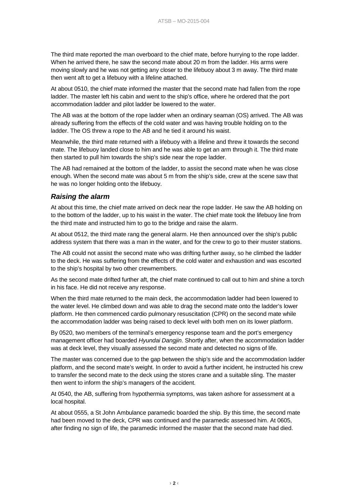The third mate reported the man overboard to the chief mate, before hurrying to the rope ladder. When he arrived there, he saw the second mate about 20 m from the ladder. His arms were moving slowly and he was not getting any closer to the lifebuoy about 3 m away. The third mate then went aft to get a lifebuoy with a lifeline attached.

At about 0510, the chief mate informed the master that the second mate had fallen from the rope ladder. The master left his cabin and went to the ship's office, where he ordered that the port accommodation ladder and pilot ladder be lowered to the water.

The AB was at the bottom of the rope ladder when an ordinary seaman (OS) arrived. The AB was already suffering from the effects of the cold water and was having trouble holding on to the ladder. The OS threw a rope to the AB and he tied it around his waist.

Meanwhile, the third mate returned with a lifebuoy with a lifeline and threw it towards the second mate. The lifebuoy landed close to him and he was able to get an arm through it. The third mate then started to pull him towards the ship's side near the rope ladder.

The AB had remained at the bottom of the ladder, to assist the second mate when he was close enough. When the second mate was about 5 m from the ship's side, crew at the scene saw that he was no longer holding onto the lifebuoy.

#### *Raising the alarm*

At about this time, the chief mate arrived on deck near the rope ladder. He saw the AB holding on to the bottom of the ladder, up to his waist in the water. The chief mate took the lifebuoy line from the third mate and instructed him to go to the bridge and raise the alarm.

At about 0512, the third mate rang the general alarm. He then announced over the ship's public address system that there was a man in the water, and for the crew to go to their muster stations.

The AB could not assist the second mate who was drifting further away, so he climbed the ladder to the deck. He was suffering from the effects of the cold water and exhaustion and was escorted to the ship's hospital by two other crewmembers.

As the second mate drifted further aft, the chief mate continued to call out to him and shine a torch in his face. He did not receive any response.

When the third mate returned to the main deck, the accommodation ladder had been lowered to the water level. He climbed down and was able to drag the second mate onto the ladder's lower platform. He then commenced cardio pulmonary resuscitation (CPR) on the second mate while the accommodation ladder was being raised to deck level with both men on its lower platform.

By 0520, two members of the terminal's emergency response team and the port's emergency management officer had boarded *Hyundai Dangjin*. Shortly after, when the accommodation ladder was at deck level, they visually assessed the second mate and detected no signs of life.

The master was concerned due to the gap between the ship's side and the accommodation ladder platform, and the second mate's weight. In order to avoid a further incident, he instructed his crew to transfer the second mate to the deck using the stores crane and a suitable sling. The master then went to inform the ship's managers of the accident.

At 0540, the AB, suffering from hypothermia symptoms, was taken ashore for assessment at a local hospital.

At about 0555, a St John Ambulance paramedic boarded the ship. By this time, the second mate had been moved to the deck, CPR was continued and the paramedic assessed him. At 0605, after finding no sign of life, the paramedic informed the master that the second mate had died.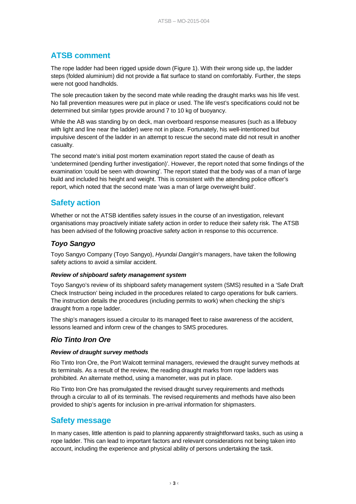## **ATSB comment**

The rope ladder had been rigged upside down (Figure 1). With their wrong side up, the ladder steps (folded aluminium) did not provide a flat surface to stand on comfortably. Further, the steps were not good handholds.

The sole precaution taken by the second mate while reading the draught marks was his life vest. No fall prevention measures were put in place or used. The life vest's specifications could not be determined but similar types provide around 7 to 10 kg of buoyancy.

While the AB was standing by on deck, man overboard response measures (such as a lifebuoy with light and line near the ladder) were not in place. Fortunately, his well-intentioned but impulsive descent of the ladder in an attempt to rescue the second mate did not result in another casualty.

The second mate's initial post mortem examination report stated the cause of death as 'undetermined (pending further investigation)'. However, the report noted that some findings of the examination 'could be seen with drowning'. The report stated that the body was of a man of large build and included his height and weight. This is consistent with the attending police officer's report, which noted that the second mate 'was a man of large overweight build'.

## **Safety action**

Whether or not the ATSB identifies safety issues in the course of an investigation, relevant organisations may proactively initiate safety action in order to reduce their safety risk. The ATSB has been advised of the following proactive safety action in response to this occurrence.

## *Toyo Sangyo*

Toyo Sangyo Company (Toyo Sangyo), *Hyundai Dangjin*'s managers, have taken the following safety actions to avoid a similar accident.

#### *Review of shipboard safety management system*

Toyo Sangyo's review of its shipboard safety management system (SMS) resulted in a 'Safe Draft Check Instruction' being included in the procedures related to cargo operations for bulk carriers. The instruction details the procedures (including permits to work) when checking the ship's draught from a rope ladder.

The ship's managers issued a circular to its managed fleet to raise awareness of the accident, lessons learned and inform crew of the changes to SMS procedures.

## *Rio Tinto Iron Ore*

#### *Review of draught survey methods*

Rio Tinto Iron Ore, the Port Walcott terminal managers, reviewed the draught survey methods at its terminals. As a result of the review, the reading draught marks from rope ladders was prohibited. An alternate method, using a manometer, was put in place.

Rio Tinto Iron Ore has promulgated the revised draught survey requirements and methods through a circular to all of its terminals. The revised requirements and methods have also been provided to ship's agents for inclusion in pre-arrival information for shipmasters.

## **Safety message**

In many cases, little attention is paid to planning apparently straightforward tasks, such as using a rope ladder. This can lead to important factors and relevant considerations not being taken into account, including the experience and physical ability of persons undertaking the task.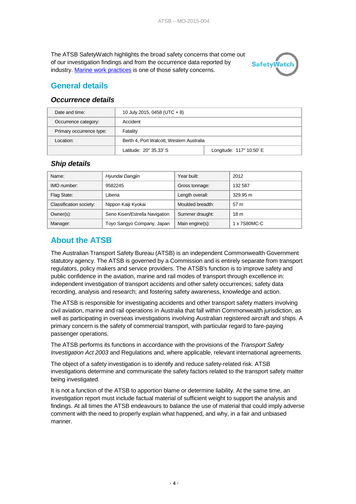The ATSB SafetyWatch highlights the broad safety concerns that come out of our investigation findings and from the occurrence data reported by industry. [Marine work practices](http://www.atsb.gov.au/safetywatch/marine-work-practices.aspx) is one of those safety concerns.



## **General details**

#### *Occurrence details*

| Date and time:           | 10 July 2015, 0458 (UTC + 8)             |                          |  |  |
|--------------------------|------------------------------------------|--------------------------|--|--|
| Occurrence category:     | Accident                                 |                          |  |  |
| Primary occurrence type: | Fatality                                 |                          |  |  |
| Location:                | Berth 4, Port Walcott, Western Australia |                          |  |  |
|                          | Latitude: 20° 35.33' S                   | Longitude: 117° 10.50' E |  |  |

## *Ship details*

| Name:                   | Hyundai Dangjin                | Year built:      | 2012            |
|-------------------------|--------------------------------|------------------|-----------------|
| IMO number:             | 9582245                        | Gross tonnage:   | 132 587         |
| Flag State:             | ∟iberia                        | Length overall:  | 329.95 m        |
| Classification society: | Nippon Kaiji Kyokai            | Moulded breadth: | 57 m            |
| Owner(s):               | Seno Kisen/Estrella Navigation | Summer draught:  | 18 <sub>m</sub> |
| Manager:                | Toyo Sangyo Company, Japan     | Main engine(s):  | 1 x 7S80MC-C    |

## **About the ATSB**

The Australian Transport Safety Bureau (ATSB) is an independent Commonwealth Government statutory agency. The ATSB is governed by a Commission and is entirely separate from transport regulators, policy makers and service providers. The ATSB's function is to improve safety and public confidence in the aviation, marine and rail modes of transport through excellence in: independent investigation of transport accidents and other safety occurrences; safety data recording, analysis and research; and fostering safety awareness, knowledge and action.

The ATSB is responsible for investigating accidents and other transport safety matters involving civil aviation, marine and rail operations in Australia that fall within Commonwealth jurisdiction, as well as participating in overseas investigations involving Australian registered aircraft and ships. A primary concern is the safety of commercial transport, with particular regard to fare-paying passenger operations.

The ATSB performs its functions in accordance with the provisions of the *Transport Safety Investigation Act 2003* and Regulations and, where applicable, relevant international agreements.

The object of a safety investigation is to identify and reduce safety-related risk. ATSB investigations determine and communicate the safety factors related to the transport safety matter being investigated.

It is not a function of the ATSB to apportion blame or determine liability. At the same time, an investigation report must include factual material of sufficient weight to support the analysis and findings. At all times the ATSB endeavours to balance the use of material that could imply adverse comment with the need to properly explain what happened, and why, in a fair and unbiased manner.